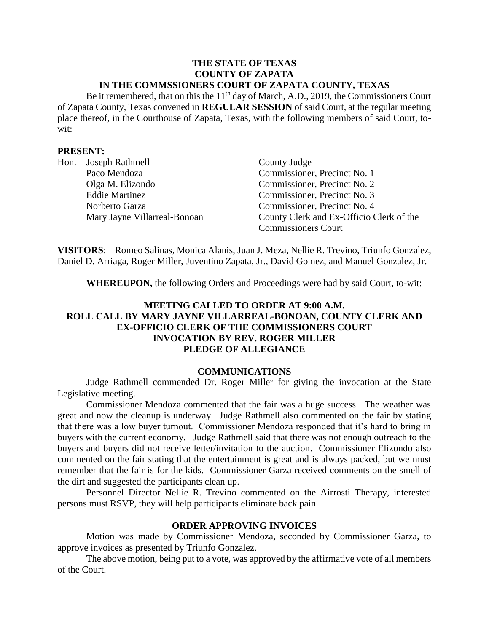#### **THE STATE OF TEXAS COUNTY OF ZAPATA IN THE COMMSSIONERS COURT OF ZAPATA COUNTY, TEXAS**

Be it remembered, that on this the 11<sup>th</sup> day of March, A.D., 2019, the Commissioners Court of Zapata County, Texas convened in **REGULAR SESSION** of said Court, at the regular meeting place thereof, in the Courthouse of Zapata, Texas, with the following members of said Court, towit:

#### **PRESENT:**

| Hon. | Joseph Rathmell              | County Judge                             |
|------|------------------------------|------------------------------------------|
|      | Paco Mendoza                 | Commissioner, Precinct No. 1             |
|      | Olga M. Elizondo             | Commissioner, Precinct No. 2             |
|      | <b>Eddie Martinez</b>        | Commissioner, Precinct No. 3             |
|      | Norberto Garza               | Commissioner, Precinct No. 4             |
|      | Mary Jayne Villarreal-Bonoan | County Clerk and Ex-Officio Clerk of the |
|      |                              | <b>Commissioners Court</b>               |

**VISITORS**: Romeo Salinas, Monica Alanis, Juan J. Meza, Nellie R. Trevino, Triunfo Gonzalez, Daniel D. Arriaga, Roger Miller, Juventino Zapata, Jr., David Gomez, and Manuel Gonzalez, Jr.

**WHEREUPON,** the following Orders and Proceedings were had by said Court, to-wit:

# **MEETING CALLED TO ORDER AT 9:00 A.M. ROLL CALL BY MARY JAYNE VILLARREAL-BONOAN, COUNTY CLERK AND EX-OFFICIO CLERK OF THE COMMISSIONERS COURT INVOCATION BY REV. ROGER MILLER PLEDGE OF ALLEGIANCE**

#### **COMMUNICATIONS**

Judge Rathmell commended Dr. Roger Miller for giving the invocation at the State Legislative meeting.

Commissioner Mendoza commented that the fair was a huge success. The weather was great and now the cleanup is underway. Judge Rathmell also commented on the fair by stating that there was a low buyer turnout. Commissioner Mendoza responded that it's hard to bring in buyers with the current economy. Judge Rathmell said that there was not enough outreach to the buyers and buyers did not receive letter/invitation to the auction. Commissioner Elizondo also commented on the fair stating that the entertainment is great and is always packed, but we must remember that the fair is for the kids. Commissioner Garza received comments on the smell of the dirt and suggested the participants clean up.

Personnel Director Nellie R. Trevino commented on the Airrosti Therapy, interested persons must RSVP, they will help participants eliminate back pain.

#### **ORDER APPROVING INVOICES**

Motion was made by Commissioner Mendoza, seconded by Commissioner Garza, to approve invoices as presented by Triunfo Gonzalez.

The above motion, being put to a vote, was approved by the affirmative vote of all members of the Court.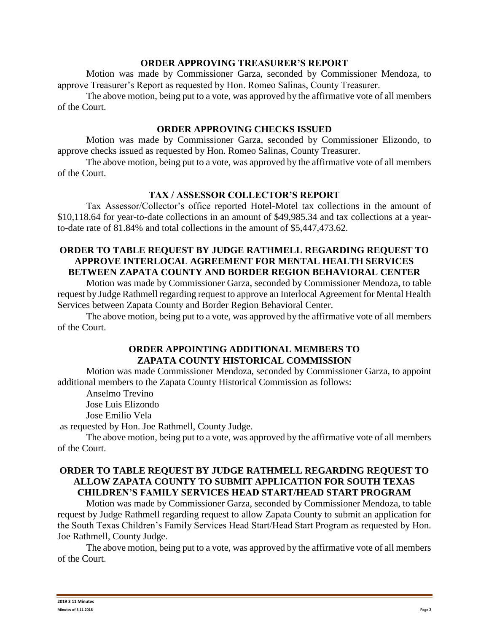#### **ORDER APPROVING TREASURER'S REPORT**

Motion was made by Commissioner Garza, seconded by Commissioner Mendoza, to approve Treasurer's Report as requested by Hon. Romeo Salinas, County Treasurer.

The above motion, being put to a vote, was approved by the affirmative vote of all members of the Court.

#### **ORDER APPROVING CHECKS ISSUED**

Motion was made by Commissioner Garza, seconded by Commissioner Elizondo, to approve checks issued as requested by Hon. Romeo Salinas, County Treasurer.

The above motion, being put to a vote, was approved by the affirmative vote of all members of the Court.

#### **TAX / ASSESSOR COLLECTOR'S REPORT**

Tax Assessor/Collector's office reported Hotel-Motel tax collections in the amount of \$10,118.64 for year-to-date collections in an amount of \$49,985.34 and tax collections at a yearto-date rate of 81.84% and total collections in the amount of \$5,447,473.62.

### **ORDER TO TABLE REQUEST BY JUDGE RATHMELL REGARDING REQUEST TO APPROVE INTERLOCAL AGREEMENT FOR MENTAL HEALTH SERVICES BETWEEN ZAPATA COUNTY AND BORDER REGION BEHAVIORAL CENTER**

Motion was made by Commissioner Garza, seconded by Commissioner Mendoza, to table request by Judge Rathmell regarding request to approve an Interlocal Agreement for Mental Health Services between Zapata County and Border Region Behavioral Center.

The above motion, being put to a vote, was approved by the affirmative vote of all members of the Court.

# **ORDER APPOINTING ADDITIONAL MEMBERS TO ZAPATA COUNTY HISTORICAL COMMISSION**

Motion was made Commissioner Mendoza, seconded by Commissioner Garza, to appoint additional members to the Zapata County Historical Commission as follows:

Anselmo Trevino

Jose Luis Elizondo

Jose Emilio Vela

as requested by Hon. Joe Rathmell, County Judge.

The above motion, being put to a vote, was approved by the affirmative vote of all members of the Court.

## **ORDER TO TABLE REQUEST BY JUDGE RATHMELL REGARDING REQUEST TO ALLOW ZAPATA COUNTY TO SUBMIT APPLICATION FOR SOUTH TEXAS CHILDREN'S FAMILY SERVICES HEAD START/HEAD START PROGRAM**

Motion was made by Commissioner Garza, seconded by Commissioner Mendoza, to table request by Judge Rathmell regarding request to allow Zapata County to submit an application for the South Texas Children's Family Services Head Start/Head Start Program as requested by Hon. Joe Rathmell, County Judge.

The above motion, being put to a vote, was approved by the affirmative vote of all members of the Court.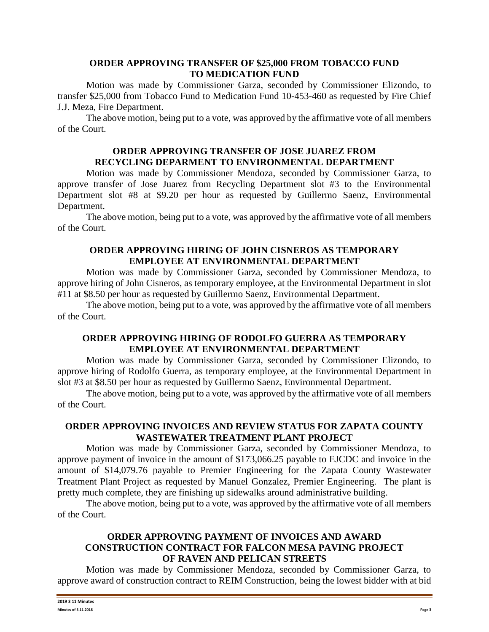### **ORDER APPROVING TRANSFER OF \$25,000 FROM TOBACCO FUND TO MEDICATION FUND**

Motion was made by Commissioner Garza, seconded by Commissioner Elizondo, to transfer \$25,000 from Tobacco Fund to Medication Fund 10-453-460 as requested by Fire Chief J.J. Meza, Fire Department.

The above motion, being put to a vote, was approved by the affirmative vote of all members of the Court.

### **ORDER APPROVING TRANSFER OF JOSE JUAREZ FROM RECYCLING DEPARMENT TO ENVIRONMENTAL DEPARTMENT**

Motion was made by Commissioner Mendoza, seconded by Commissioner Garza, to approve transfer of Jose Juarez from Recycling Department slot #3 to the Environmental Department slot #8 at \$9.20 per hour as requested by Guillermo Saenz, Environmental Department.

The above motion, being put to a vote, was approved by the affirmative vote of all members of the Court.

### **ORDER APPROVING HIRING OF JOHN CISNEROS AS TEMPORARY EMPLOYEE AT ENVIRONMENTAL DEPARTMENT**

Motion was made by Commissioner Garza, seconded by Commissioner Mendoza, to approve hiring of John Cisneros, as temporary employee, at the Environmental Department in slot #11 at \$8.50 per hour as requested by Guillermo Saenz, Environmental Department.

The above motion, being put to a vote, was approved by the affirmative vote of all members of the Court.

# **ORDER APPROVING HIRING OF RODOLFO GUERRA AS TEMPORARY EMPLOYEE AT ENVIRONMENTAL DEPARTMENT**

Motion was made by Commissioner Garza, seconded by Commissioner Elizondo, to approve hiring of Rodolfo Guerra, as temporary employee, at the Environmental Department in slot #3 at \$8.50 per hour as requested by Guillermo Saenz, Environmental Department.

The above motion, being put to a vote, was approved by the affirmative vote of all members of the Court.

### **ORDER APPROVING INVOICES AND REVIEW STATUS FOR ZAPATA COUNTY WASTEWATER TREATMENT PLANT PROJECT**

Motion was made by Commissioner Garza, seconded by Commissioner Mendoza, to approve payment of invoice in the amount of \$173,066.25 payable to EJCDC and invoice in the amount of \$14,079.76 payable to Premier Engineering for the Zapata County Wastewater Treatment Plant Project as requested by Manuel Gonzalez, Premier Engineering. The plant is pretty much complete, they are finishing up sidewalks around administrative building.

The above motion, being put to a vote, was approved by the affirmative vote of all members of the Court.

## **ORDER APPROVING PAYMENT OF INVOICES AND AWARD CONSTRUCTION CONTRACT FOR FALCON MESA PAVING PROJECT OF RAVEN AND PELICAN STREETS**

Motion was made by Commissioner Mendoza, seconded by Commissioner Garza, to approve award of construction contract to REIM Construction, being the lowest bidder with at bid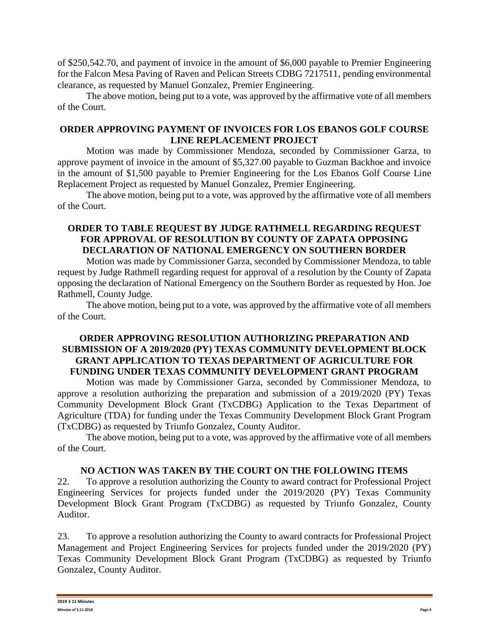of \$250,542.70, and payment of invoice in the amount of \$6,000 payable to Premier Engineering for the Falcon Mesa Paving of Raven and Pelican Streets CDBG 7217511, pending environmental clearance, as requested by Manuel Gonzalez, Premier Engineering.

The above motion, being put to a vote, was approved by the affirmative vote of all members of the Court.

# **ORDER APPROVING PAYMENT OF INVOICES FOR LOS EBANOS GOLF COURSE LINE REPLACEMENT PROJECT**

Motion was made by Commissioner Mendoza, seconded by Commissioner Garza, to approve payment of invoice in the amount of \$5,327.00 payable to Guzman Backhoe and invoice in the amount of \$1,500 payable to Premier Engineering for the Los Ebanos Golf Course Line Replacement Project as requested by Manuel Gonzalez, Premier Engineering.

The above motion, being put to a vote, was approved by the affirmative vote of all members of the Court.

# **ORDER TO TABLE REQUEST BY JUDGE RATHMELL REGARDING REQUEST FOR APPROVAL OF RESOLUTION BY COUNTY OF ZAPATA OPPOSING DECLARATION OF NATIONAL EMERGENCY ON SOUTHERN BORDER**

Motion was made by Commissioner Garza, seconded by Commissioner Mendoza, to table request by Judge Rathmell regarding request for approval of a resolution by the County of Zapata opposing the declaration of National Emergency on the Southern Border as requested by Hon. Joe Rathmell, County Judge.

The above motion, being put to a vote, was approved by the affirmative vote of all members of the Court.

# **ORDER APPROVING RESOLUTION AUTHORIZING PREPARATION AND SUBMISSION OF A 2019/2020 (PY) TEXAS COMMUNITY DEVELOPMENT BLOCK GRANT APPLICATION TO TEXAS DEPARTMENT OF AGRICULTURE FOR FUNDING UNDER TEXAS COMMUNITY DEVELOPMENT GRANT PROGRAM**

Motion was made by Commissioner Garza, seconded by Commissioner Mendoza, to approve a resolution authorizing the preparation and submission of a 2019/2020 (PY) Texas Community Development Block Grant (TxCDBG) Application to the Texas Department of Agriculture (TDA) for funding under the Texas Community Development Block Grant Program (TxCDBG) as requested by Triunfo Gonzalez, County Auditor.

The above motion, being put to a vote, was approved by the affirmative vote of all members of the Court.

# **NO ACTION WAS TAKEN BY THE COURT ON THE FOLLOWING ITEMS**

22. To approve a resolution authorizing the County to award contract for Professional Project Engineering Services for projects funded under the 2019/2020 (PY) Texas Community Development Block Grant Program (TxCDBG) as requested by Triunfo Gonzalez, County Auditor.

23. To approve a resolution authorizing the County to award contracts for Professional Project Management and Project Engineering Services for projects funded under the 2019/2020 (PY) Texas Community Development Block Grant Program (TxCDBG) as requested by Triunfo Gonzalez, County Auditor.